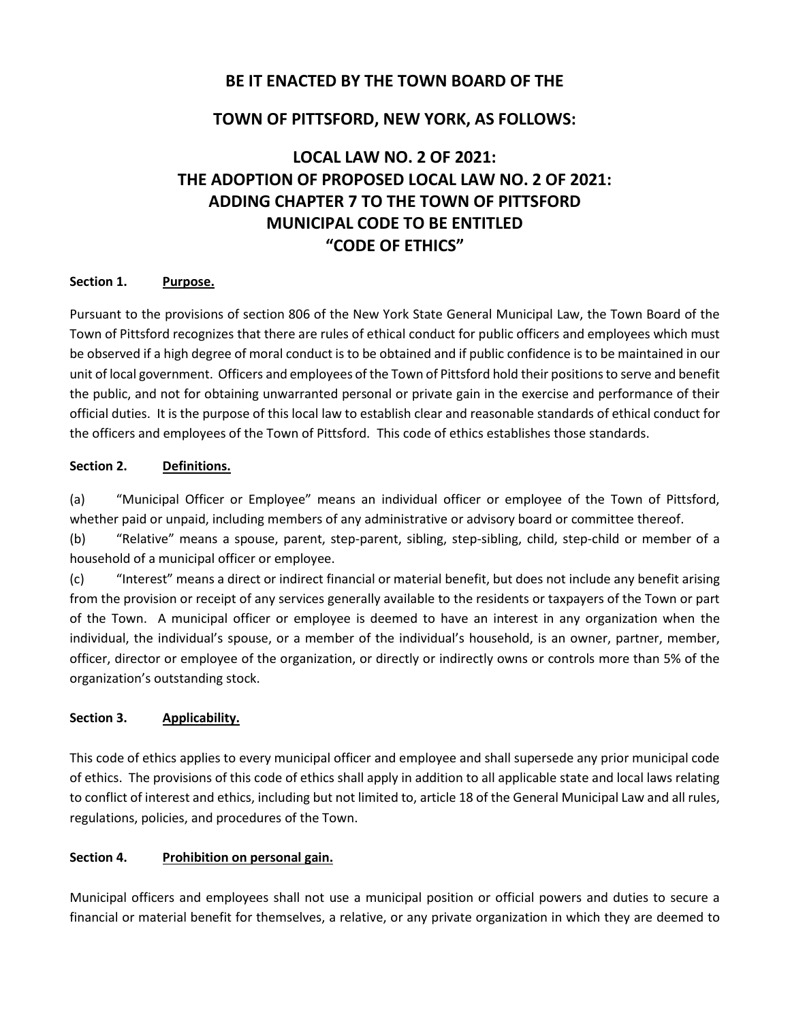# **BE IT ENACTED BY THE TOWN BOARD OF THE**

# **TOWN OF PITTSFORD, NEW YORK, AS FOLLOWS:**

# **LOCAL LAW NO. 2 OF 2021: THE ADOPTION OF PROPOSED LOCAL LAW NO. 2 OF 2021: ADDING CHAPTER 7 TO THE TOWN OF PITTSFORD MUNICIPAL CODE TO BE ENTITLED "CODE OF ETHICS"**

#### **Section 1. Purpose.**

Pursuant to the provisions of section 806 of the New York State General Municipal Law, the Town Board of the Town of Pittsford recognizes that there are rules of ethical conduct for public officers and employees which must be observed if a high degree of moral conduct is to be obtained and if public confidence is to be maintained in our unit of local government. Officers and employees of the Town of Pittsford hold their positions to serve and benefit the public, and not for obtaining unwarranted personal or private gain in the exercise and performance of their official duties. It is the purpose of this local law to establish clear and reasonable standards of ethical conduct for the officers and employees of the Town of Pittsford. This code of ethics establishes those standards.

## **Section 2. Definitions.**

(a) "Municipal Officer or Employee" means an individual officer or employee of the Town of Pittsford, whether paid or unpaid, including members of any administrative or advisory board or committee thereof.

(b) "Relative" means a spouse, parent, step-parent, sibling, step-sibling, child, step-child or member of a household of a municipal officer or employee.

(c) "Interest" means a direct or indirect financial or material benefit, but does not include any benefit arising from the provision or receipt of any services generally available to the residents or taxpayers of the Town or part of the Town. A municipal officer or employee is deemed to have an interest in any organization when the individual, the individual's spouse, or a member of the individual's household, is an owner, partner, member, officer, director or employee of the organization, or directly or indirectly owns or controls more than 5% of the organization's outstanding stock.

#### **Section 3. Applicability.**

This code of ethics applies to every municipal officer and employee and shall supersede any prior municipal code of ethics. The provisions of this code of ethics shall apply in addition to all applicable state and local laws relating to conflict of interest and ethics, including but not limited to, article 18 of the General Municipal Law and all rules, regulations, policies, and procedures of the Town.

#### **Section 4. Prohibition on personal gain.**

Municipal officers and employees shall not use a municipal position or official powers and duties to secure a financial or material benefit for themselves, a relative, or any private organization in which they are deemed to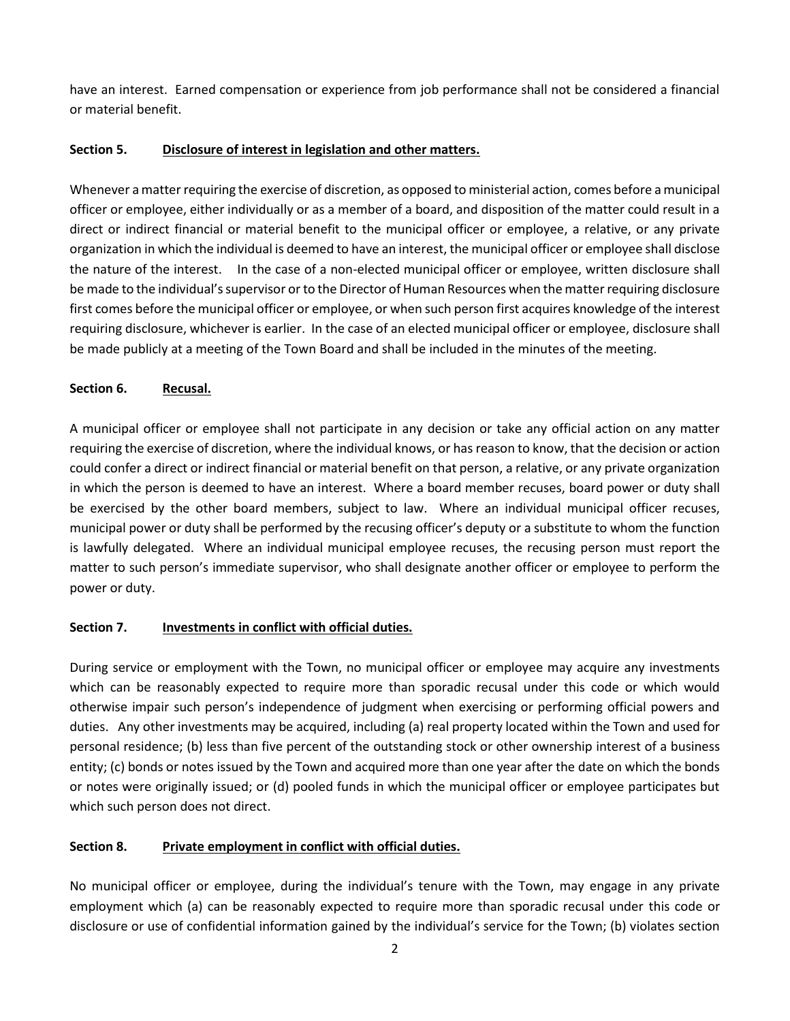have an interest. Earned compensation or experience from job performance shall not be considered a financial or material benefit.

## **Section 5. Disclosure of interest in legislation and other matters.**

Whenever a matter requiring the exercise of discretion, as opposed to ministerial action, comes before a municipal officer or employee, either individually or as a member of a board, and disposition of the matter could result in a direct or indirect financial or material benefit to the municipal officer or employee, a relative, or any private organization in which the individual is deemed to have an interest, the municipal officer or employee shall disclose the nature of the interest. In the case of a non-elected municipal officer or employee, written disclosure shall be made to the individual's supervisor or to the Director of Human Resources when the matter requiring disclosure first comes before the municipal officer or employee, or when such person first acquires knowledge of the interest requiring disclosure, whichever is earlier. In the case of an elected municipal officer or employee, disclosure shall be made publicly at a meeting of the Town Board and shall be included in the minutes of the meeting.

## **Section 6. Recusal.**

A municipal officer or employee shall not participate in any decision or take any official action on any matter requiring the exercise of discretion, where the individual knows, or has reason to know, that the decision or action could confer a direct or indirect financial or material benefit on that person, a relative, or any private organization in which the person is deemed to have an interest. Where a board member recuses, board power or duty shall be exercised by the other board members, subject to law. Where an individual municipal officer recuses, municipal power or duty shall be performed by the recusing officer's deputy or a substitute to whom the function is lawfully delegated. Where an individual municipal employee recuses, the recusing person must report the matter to such person's immediate supervisor, who shall designate another officer or employee to perform the power or duty.

## **Section 7. Investments in conflict with official duties.**

During service or employment with the Town, no municipal officer or employee may acquire any investments which can be reasonably expected to require more than sporadic recusal under this code or which would otherwise impair such person's independence of judgment when exercising or performing official powers and duties. Any other investments may be acquired, including (a) real property located within the Town and used for personal residence; (b) less than five percent of the outstanding stock or other ownership interest of a business entity; (c) bonds or notes issued by the Town and acquired more than one year after the date on which the bonds or notes were originally issued; or (d) pooled funds in which the municipal officer or employee participates but which such person does not direct.

#### **Section 8. Private employment in conflict with official duties.**

No municipal officer or employee, during the individual's tenure with the Town, may engage in any private employment which (a) can be reasonably expected to require more than sporadic recusal under this code or disclosure or use of confidential information gained by the individual's service for the Town; (b) violates section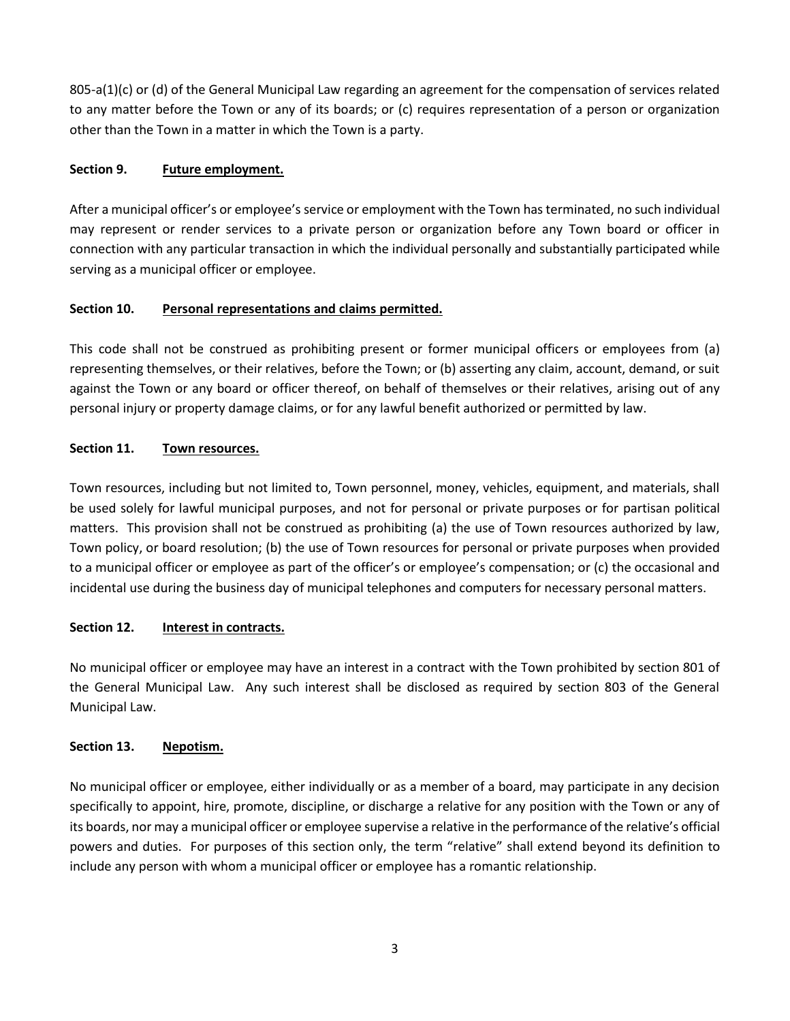805-a(1)(c) or (d) of the General Municipal Law regarding an agreement for the compensation of services related to any matter before the Town or any of its boards; or (c) requires representation of a person or organization other than the Town in a matter in which the Town is a party.

## **Section 9. Future employment.**

After a municipal officer's or employee's service or employment with the Town has terminated, no such individual may represent or render services to a private person or organization before any Town board or officer in connection with any particular transaction in which the individual personally and substantially participated while serving as a municipal officer or employee.

## **Section 10. Personal representations and claims permitted.**

This code shall not be construed as prohibiting present or former municipal officers or employees from (a) representing themselves, or their relatives, before the Town; or (b) asserting any claim, account, demand, or suit against the Town or any board or officer thereof, on behalf of themselves or their relatives, arising out of any personal injury or property damage claims, or for any lawful benefit authorized or permitted by law.

## **Section 11. Town resources.**

Town resources, including but not limited to, Town personnel, money, vehicles, equipment, and materials, shall be used solely for lawful municipal purposes, and not for personal or private purposes or for partisan political matters. This provision shall not be construed as prohibiting (a) the use of Town resources authorized by law, Town policy, or board resolution; (b) the use of Town resources for personal or private purposes when provided to a municipal officer or employee as part of the officer's or employee's compensation; or (c) the occasional and incidental use during the business day of municipal telephones and computers for necessary personal matters.

## **Section 12. Interest in contracts.**

No municipal officer or employee may have an interest in a contract with the Town prohibited by section 801 of the General Municipal Law. Any such interest shall be disclosed as required by section 803 of the General Municipal Law.

#### **Section 13. Nepotism.**

No municipal officer or employee, either individually or as a member of a board, may participate in any decision specifically to appoint, hire, promote, discipline, or discharge a relative for any position with the Town or any of its boards, nor may a municipal officer or employee supervise a relative in the performance of the relative's official powers and duties. For purposes of this section only, the term "relative" shall extend beyond its definition to include any person with whom a municipal officer or employee has a romantic relationship.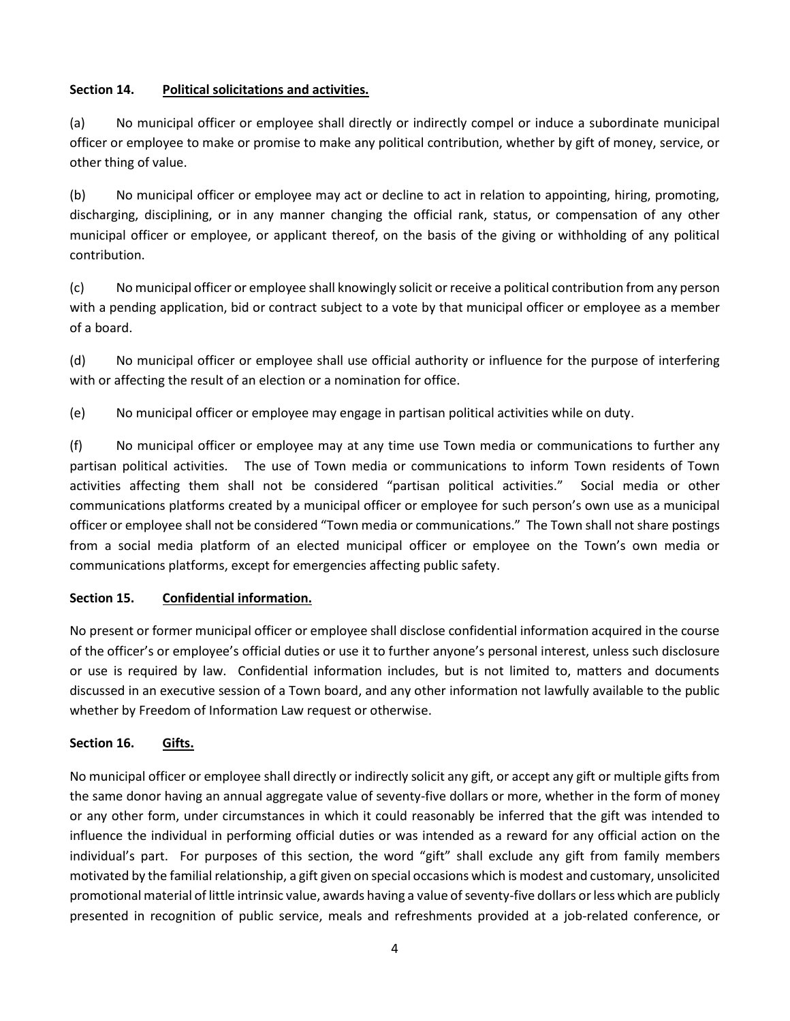## **Section 14. Political solicitations and activities.**

(a) No municipal officer or employee shall directly or indirectly compel or induce a subordinate municipal officer or employee to make or promise to make any political contribution, whether by gift of money, service, or other thing of value.

(b) No municipal officer or employee may act or decline to act in relation to appointing, hiring, promoting, discharging, disciplining, or in any manner changing the official rank, status, or compensation of any other municipal officer or employee, or applicant thereof, on the basis of the giving or withholding of any political contribution.

(c) No municipal officer or employee shall knowingly solicit or receive a political contribution from any person with a pending application, bid or contract subject to a vote by that municipal officer or employee as a member of a board.

(d) No municipal officer or employee shall use official authority or influence for the purpose of interfering with or affecting the result of an election or a nomination for office.

(e) No municipal officer or employee may engage in partisan political activities while on duty.

(f) No municipal officer or employee may at any time use Town media or communications to further any partisan political activities. The use of Town media or communications to inform Town residents of Town activities affecting them shall not be considered "partisan political activities." Social media or other communications platforms created by a municipal officer or employee for such person's own use as a municipal officer or employee shall not be considered "Town media or communications." The Town shall not share postings from a social media platform of an elected municipal officer or employee on the Town's own media or communications platforms, except for emergencies affecting public safety.

## **Section 15. Confidential information.**

No present or former municipal officer or employee shall disclose confidential information acquired in the course of the officer's or employee's official duties or use it to further anyone's personal interest, unless such disclosure or use is required by law. Confidential information includes, but is not limited to, matters and documents discussed in an executive session of a Town board, and any other information not lawfully available to the public whether by Freedom of Information Law request or otherwise.

## **Section 16. Gifts.**

No municipal officer or employee shall directly or indirectly solicit any gift, or accept any gift or multiple gifts from the same donor having an annual aggregate value of seventy-five dollars or more, whether in the form of money or any other form, under circumstances in which it could reasonably be inferred that the gift was intended to influence the individual in performing official duties or was intended as a reward for any official action on the individual's part. For purposes of this section, the word "gift" shall exclude any gift from family members motivated by the familial relationship, a gift given on special occasions which is modest and customary, unsolicited promotional material of little intrinsic value, awards having a value of seventy-five dollars or less which are publicly presented in recognition of public service, meals and refreshments provided at a job-related conference, or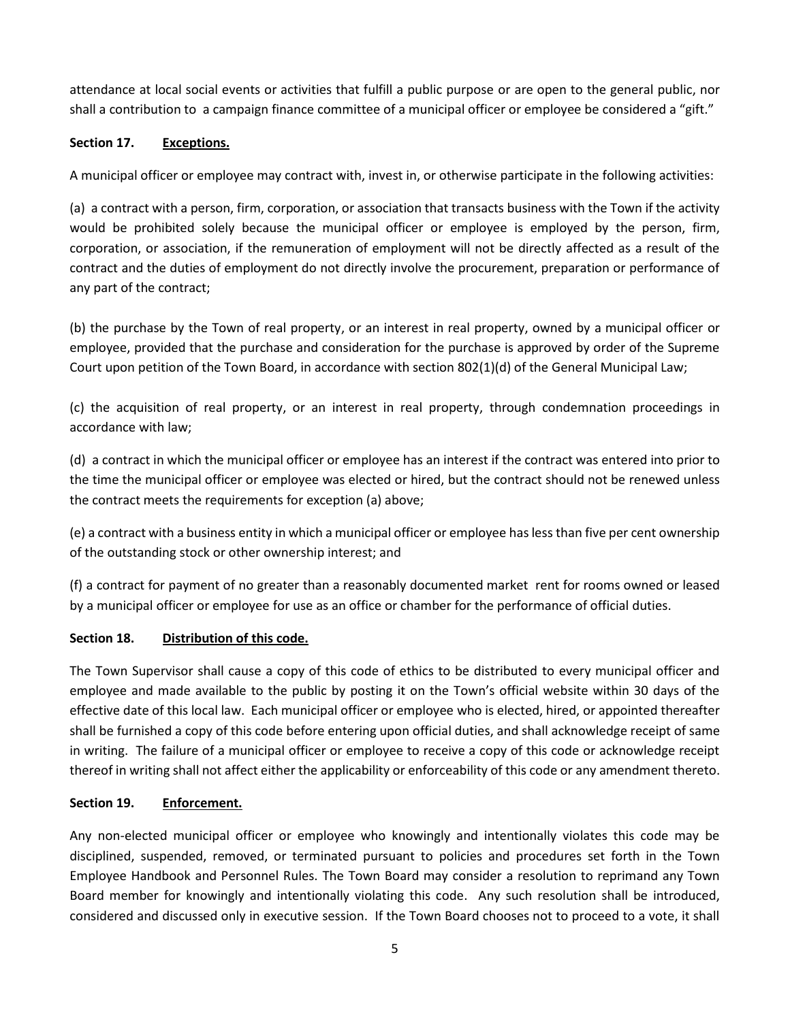attendance at local social events or activities that fulfill a public purpose or are open to the general public, nor shall a contribution to a campaign finance committee of a municipal officer or employee be considered a "gift."

#### **Section 17. Exceptions.**

A municipal officer or employee may contract with, invest in, or otherwise participate in the following activities:

(a) a contract with a person, firm, corporation, or association that transacts business with the Town if the activity would be prohibited solely because the municipal officer or employee is employed by the person, firm, corporation, or association, if the remuneration of employment will not be directly affected as a result of the contract and the duties of employment do not directly involve the procurement, preparation or performance of any part of the contract;

(b) the purchase by the Town of real property, or an interest in real property, owned by a municipal officer or employee, provided that the purchase and consideration for the purchase is approved by order of the Supreme Court upon petition of the Town Board, in accordance with section 802(1)(d) of the General Municipal Law;

(c) the acquisition of real property, or an interest in real property, through condemnation proceedings in accordance with law;

(d) a contract in which the municipal officer or employee has an interest if the contract was entered into prior to the time the municipal officer or employee was elected or hired, but the contract should not be renewed unless the contract meets the requirements for exception (a) above;

(e) a contract with a business entity in which a municipal officer or employee has less than five per cent ownership of the outstanding stock or other ownership interest; and

(f) a contract for payment of no greater than a reasonably documented market rent for rooms owned or leased by a municipal officer or employee for use as an office or chamber for the performance of official duties.

#### **Section 18. Distribution of this code.**

The Town Supervisor shall cause a copy of this code of ethics to be distributed to every municipal officer and employee and made available to the public by posting it on the Town's official website within 30 days of the effective date of this local law. Each municipal officer or employee who is elected, hired, or appointed thereafter shall be furnished a copy of this code before entering upon official duties, and shall acknowledge receipt of same in writing. The failure of a municipal officer or employee to receive a copy of this code or acknowledge receipt thereof in writing shall not affect either the applicability or enforceability of this code or any amendment thereto.

## **Section 19. Enforcement.**

Any non-elected municipal officer or employee who knowingly and intentionally violates this code may be disciplined, suspended, removed, or terminated pursuant to policies and procedures set forth in the Town Employee Handbook and Personnel Rules. The Town Board may consider a resolution to reprimand any Town Board member for knowingly and intentionally violating this code. Any such resolution shall be introduced, considered and discussed only in executive session. If the Town Board chooses not to proceed to a vote, it shall